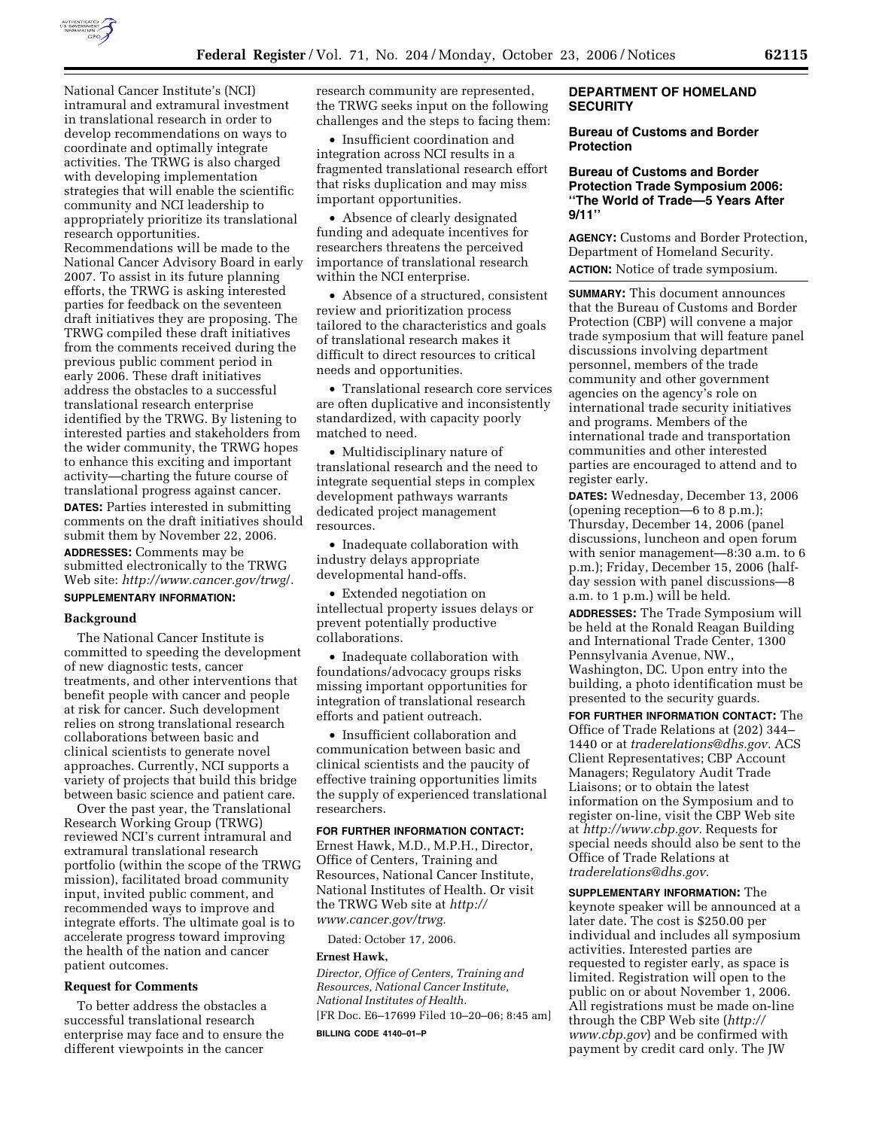

National Cancer Institute's (NCI) intramural and extramural investment in translational research in order to develop recommendations on ways to coordinate and optimally integrate activities. The TRWG is also charged with developing implementation strategies that will enable the scientific community and NCI leadership to appropriately prioritize its translational research opportunities. Recommendations will be made to the National Cancer Advisory Board in early 2007. To assist in its future planning efforts, the TRWG is asking interested parties for feedback on the seventeen draft initiatives they are proposing. The TRWG compiled these draft initiatives from the comments received during the previous public comment period in early 2006. These draft initiatives address the obstacles to a successful translational research enterprise identified by the TRWG. By listening to interested parties and stakeholders from the wider community, the TRWG hopes to enhance this exciting and important activity—charting the future course of translational progress against cancer. **DATES:** Parties interested in submitting comments on the draft initiatives should submit them by November 22, 2006.

**ADDRESSES:** Comments may be submitted electronically to the TRWG Web site: *http://www.cancer.gov/trwg*/.

# **SUPPLEMENTARY INFORMATION:**

#### **Background**

The National Cancer Institute is committed to speeding the development of new diagnostic tests, cancer treatments, and other interventions that benefit people with cancer and people at risk for cancer. Such development relies on strong translational research collaborations between basic and clinical scientists to generate novel approaches. Currently, NCI supports a variety of projects that build this bridge between basic science and patient care.

Over the past year, the Translational Research Working Group (TRWG) reviewed NCI's current intramural and extramural translational research portfolio (within the scope of the TRWG mission), facilitated broad community input, invited public comment, and recommended ways to improve and integrate efforts. The ultimate goal is to accelerate progress toward improving the health of the nation and cancer patient outcomes.

# **Request for Comments**

To better address the obstacles a successful translational research enterprise may face and to ensure the different viewpoints in the cancer

research community are represented, the TRWG seeks input on the following challenges and the steps to facing them:

• Insufficient coordination and integration across NCI results in a fragmented translational research effort that risks duplication and may miss important opportunities.

• Absence of clearly designated funding and adequate incentives for researchers threatens the perceived importance of translational research within the NCI enterprise.

• Absence of a structured, consistent review and prioritization process tailored to the characteristics and goals of translational research makes it difficult to direct resources to critical needs and opportunities.

• Translational research core services are often duplicative and inconsistently standardized, with capacity poorly matched to need.

• Multidisciplinary nature of translational research and the need to integrate sequential steps in complex development pathways warrants dedicated project management resources.

• Inadequate collaboration with industry delays appropriate developmental hand-offs.

• Extended negotiation on intellectual property issues delays or prevent potentially productive collaborations.

• Inadequate collaboration with foundations/advocacy groups risks missing important opportunities for integration of translational research efforts and patient outreach.

• Insufficient collaboration and communication between basic and clinical scientists and the paucity of effective training opportunities limits the supply of experienced translational researchers.

#### **FOR FURTHER INFORMATION CONTACT:**

Ernest Hawk, M.D., M.P.H., Director, Office of Centers, Training and Resources, National Cancer Institute, National Institutes of Health. Or visit the TRWG Web site at *http:// www.cancer.gov/trwg.* 

Dated: October 17, 2006.

#### **Ernest Hawk,**

*Director, Office of Centers, Training and Resources, National Cancer Institute, National Institutes of Health.* 

[FR Doc. E6–17699 Filed 10–20–06; 8:45 am]

**BILLING CODE 4140–01–P** 

# **DEPARTMENT OF HOMELAND SECURITY**

#### **Bureau of Customs and Border Protection**

#### **Bureau of Customs and Border Protection Trade Symposium 2006: ''The World of Trade—5 Years After 9/11''**

**AGENCY:** Customs and Border Protection, Department of Homeland Security. **ACTION:** Notice of trade symposium.

**SUMMARY:** This document announces that the Bureau of Customs and Border Protection (CBP) will convene a major trade symposium that will feature panel discussions involving department personnel, members of the trade community and other government agencies on the agency's role on international trade security initiatives and programs. Members of the international trade and transportation communities and other interested parties are encouraged to attend and to register early.

**DATES:** Wednesday, December 13, 2006 (opening reception—6 to 8 p.m.); Thursday, December 14, 2006 (panel discussions, luncheon and open forum with senior management—8:30 a.m. to 6 p.m.); Friday, December 15, 2006 (halfday session with panel discussions—8 a.m. to 1 p.m.) will be held.

**ADDRESSES:** The Trade Symposium will be held at the Ronald Reagan Building and International Trade Center, 1300 Pennsylvania Avenue, NW., Washington, DC. Upon entry into the building, a photo identification must be presented to the security guards.

**FOR FURTHER INFORMATION CONTACT:** The Office of Trade Relations at (202) 344– 1440 or at *traderelations@dhs.gov.* ACS Client Representatives; CBP Account Managers; Regulatory Audit Trade Liaisons; or to obtain the latest information on the Symposium and to register on-line, visit the CBP Web site at *http://www.cbp.gov.* Requests for special needs should also be sent to the Office of Trade Relations at *traderelations@dhs.gov.* 

**SUPPLEMENTARY INFORMATION:** The keynote speaker will be announced at a later date. The cost is \$250.00 per individual and includes all symposium activities. Interested parties are requested to register early, as space is limited. Registration will open to the public on or about November 1, 2006. All registrations must be made on-line through the CBP Web site (*http:// www.cbp.gov*) and be confirmed with payment by credit card only. The JW